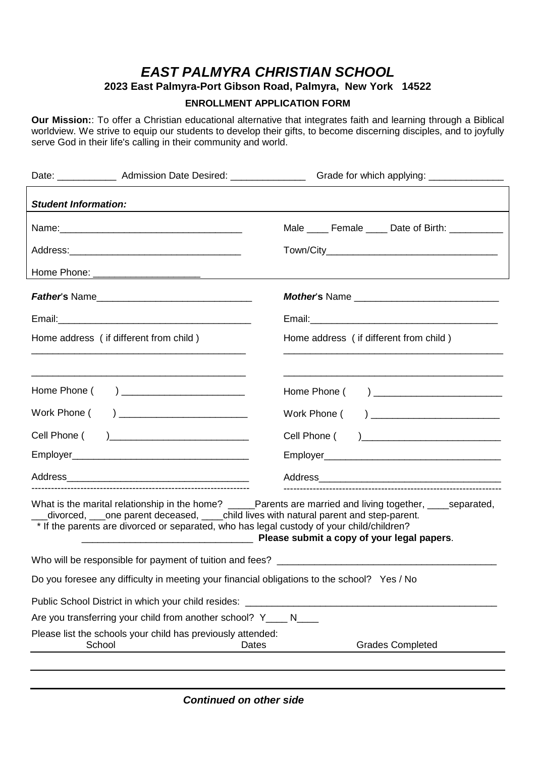## **EAST PALMYRA CHRISTIAN SCHOOL**

**2023 East Palmyra-Port Gibson Road, Palmyra, New York 14522** 

## **ENROLLMENT APPLICATION FORM**

**Our Mission:**: To offer a Christian educational alternative that integrates faith and learning through a Biblical worldview. We strive to equip our students to develop their gifts, to become discerning disciples, and to joyfully serve God in their life's calling in their community and world.

|                                                                                                                                                                                                                                                                                                                                                                                                                                                                                                                                        |                                                                                             | Date: _______________ Admission Date Desired: _______________________ Grade for which applying: ______________ |  |  |
|----------------------------------------------------------------------------------------------------------------------------------------------------------------------------------------------------------------------------------------------------------------------------------------------------------------------------------------------------------------------------------------------------------------------------------------------------------------------------------------------------------------------------------------|---------------------------------------------------------------------------------------------|----------------------------------------------------------------------------------------------------------------|--|--|
| <b>Student Information:</b>                                                                                                                                                                                                                                                                                                                                                                                                                                                                                                            |                                                                                             |                                                                                                                |  |  |
|                                                                                                                                                                                                                                                                                                                                                                                                                                                                                                                                        |                                                                                             | Male _____ Female _____ Date of Birth: ___________                                                             |  |  |
|                                                                                                                                                                                                                                                                                                                                                                                                                                                                                                                                        |                                                                                             |                                                                                                                |  |  |
|                                                                                                                                                                                                                                                                                                                                                                                                                                                                                                                                        |                                                                                             |                                                                                                                |  |  |
|                                                                                                                                                                                                                                                                                                                                                                                                                                                                                                                                        |                                                                                             |                                                                                                                |  |  |
|                                                                                                                                                                                                                                                                                                                                                                                                                                                                                                                                        |                                                                                             |                                                                                                                |  |  |
|                                                                                                                                                                                                                                                                                                                                                                                                                                                                                                                                        | Home address (if different from child)                                                      | Home address (if different from child)                                                                         |  |  |
|                                                                                                                                                                                                                                                                                                                                                                                                                                                                                                                                        |                                                                                             |                                                                                                                |  |  |
| Home Phone (                                                                                                                                                                                                                                                                                                                                                                                                                                                                                                                           |                                                                                             | Home Phone (                                                                                                   |  |  |
| Work Phone (                                                                                                                                                                                                                                                                                                                                                                                                                                                                                                                           |                                                                                             | Work Phone ( ) __________________________                                                                      |  |  |
|                                                                                                                                                                                                                                                                                                                                                                                                                                                                                                                                        |                                                                                             |                                                                                                                |  |  |
|                                                                                                                                                                                                                                                                                                                                                                                                                                                                                                                                        |                                                                                             |                                                                                                                |  |  |
|                                                                                                                                                                                                                                                                                                                                                                                                                                                                                                                                        |                                                                                             |                                                                                                                |  |  |
| What is the marital relationship in the home? _____Parents are married and living together, ____separated,<br>divorced, cone parent deceased, conclude lives with natural parent and step-parent.<br>* If the parents are divorced or separated, who has legal custody of your child/children?<br><b>Example 20 Years and Series Corporation Control of Series 20 Year 20 Year 20 Year 20 Year 20 Year 20 Year 20 Year 20 Year 20 Year 20 Year 20 Year 20 Year 20 Year 20 Year 20 Year 20 Year 20 Year 20 Year 20 Year 20 Year 20 </b> |                                                                                             |                                                                                                                |  |  |
|                                                                                                                                                                                                                                                                                                                                                                                                                                                                                                                                        |                                                                                             |                                                                                                                |  |  |
|                                                                                                                                                                                                                                                                                                                                                                                                                                                                                                                                        | Do you foresee any difficulty in meeting your financial obligations to the school? Yes / No |                                                                                                                |  |  |
|                                                                                                                                                                                                                                                                                                                                                                                                                                                                                                                                        | Public School District in which your child resides: ____                                    |                                                                                                                |  |  |
|                                                                                                                                                                                                                                                                                                                                                                                                                                                                                                                                        | Are you transferring your child from another school? Y____ N____                            |                                                                                                                |  |  |
| School                                                                                                                                                                                                                                                                                                                                                                                                                                                                                                                                 | Please list the schools your child has previously attended:<br>Dates                        | <b>Grades Completed</b>                                                                                        |  |  |
|                                                                                                                                                                                                                                                                                                                                                                                                                                                                                                                                        |                                                                                             |                                                                                                                |  |  |

**Continued on other side**